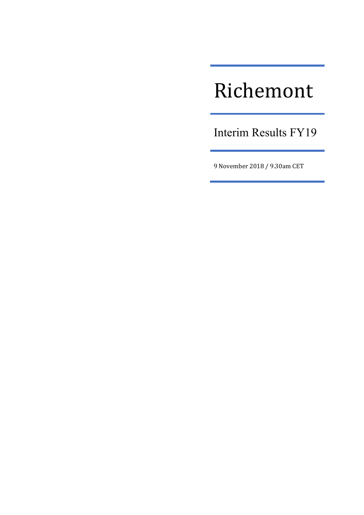# Richemont

Interim Results FY19

9 November 2018 / 9.30am CET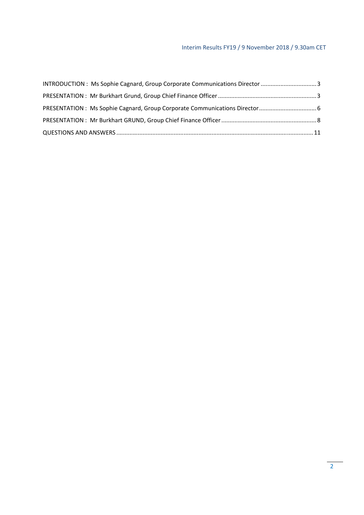#### Interim Results FY19 / 9 November 2018 / 9.30am CET

| INTRODUCTION : Ms Sophie Cagnard, Group Corporate Communications Director 3 |  |
|-----------------------------------------------------------------------------|--|
|                                                                             |  |
|                                                                             |  |
|                                                                             |  |
|                                                                             |  |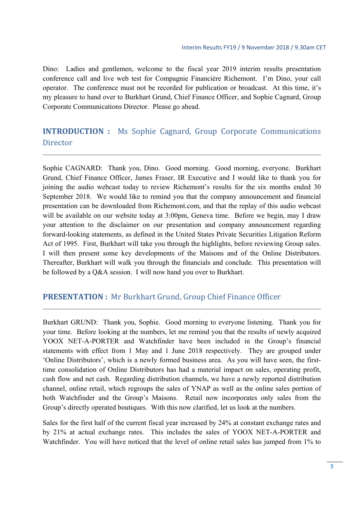Dino: Ladies and gentlemen, welcome to the fiscal year 2019 interim results presentation conference call and live web test for Compagnie Financière Richemont. I'm Dino, your call operator. The conference must not be recorded for publication or broadcast. At this time, it's my pleasure to hand over to Burkhart Grund, Chief Finance Officer, and Sophie Cagnard, Group Corporate Communications Director. Please go ahead.

# **INTRODUCTION** : Ms Sophie Cagnard, Group Corporate Communications **Director**

Sophie CAGNARD: Thank you, Dino. Good morning. Good morning, everyone. Burkhart Grund, Chief Finance Officer, James Fraser, IR Executive and I would like to thank you for joining the audio webcast today to review Richemont's results for the six months ended 30 September 2018. We would like to remind you that the company announcement and financial presentation can be downloaded from Richemont.com, and that the replay of this audio webcast will be available on our website today at 3:00pm, Geneva time. Before we begin, may I draw your attention to the disclaimer on our presentation and company announcement regarding forward-looking statements, as defined in the United States Private Securities Litigation Reform Act of 1995. First, Burkhart will take you through the highlights, before reviewing Group sales. I will then present some key developments of the Maisons and of the Online Distributors. Thereafter, Burkhart will walk you through the financials and conclude. This presentation will be followed by a Q&A session. I will now hand you over to Burkhart.

## **PRESENTATION** : Mr Burkhart Grund, Group Chief Finance Officer

Burkhart GRUND: Thank you, Sophie. Good morning to everyone listening. Thank you for your time. Before looking at the numbers, let me remind you that the results of newly acquired YOOX NET-A-PORTER and Watchfinder have been included in the Group's financial statements with effect from 1 May and 1 June 2018 respectively. They are grouped under 'Online Distributors', which is a newly formed business area. As you will have seen, the firsttime consolidation of Online Distributors has had a material impact on sales, operating profit, cash flow and net cash. Regarding distribution channels, we have a newly reported distribution channel, online retail, which regroups the sales of YNAP as well as the online sales portion of both Watchfinder and the Group's Maisons. Retail now incorporates only sales from the Group's directly operated boutiques. With this now clarified, let us look at the numbers.

Sales for the first half of the current fiscal year increased by 24% at constant exchange rates and by 21% at actual exchange rates. This includes the sales of YOOX NET-A-PORTER and Watchfinder. You will have noticed that the level of online retail sales has jumped from 1% to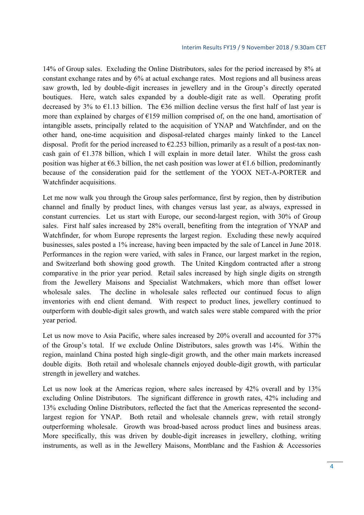14% of Group sales. Excluding the Online Distributors, sales for the period increased by 8% at constant exchange rates and by 6% at actual exchange rates. Most regions and all business areas saw growth, led by double-digit increases in jewellery and in the Group's directly operated boutiques. Here, watch sales expanded by a double-digit rate as well. Operating profit decreased by 3% to  $\epsilon$ 1.13 billion. The  $\epsilon$ 36 million decline versus the first half of last year is more than explained by charges of  $E$ 159 million comprised of, on the one hand, amortisation of intangible assets, principally related to the acquisition of YNAP and Watchfinder, and on the other hand, one-time acquisition and disposal-related charges mainly linked to the Lancel disposal. Profit for the period increased to  $\epsilon$ 2.253 billion, primarily as a result of a post-tax noncash gain of  $\epsilon$ 1.378 billion, which I will explain in more detail later. Whilst the gross cash position was higher at  $\epsilon$ 6.3 billion, the net cash position was lower at  $\epsilon$ 1.6 billion, predominantly because of the consideration paid for the settlement of the YOOX NET-A-PORTER and Watchfinder acquisitions.

Let me now walk you through the Group sales performance, first by region, then by distribution channel and finally by product lines, with changes versus last year, as always, expressed in constant currencies. Let us start with Europe, our second-largest region, with 30% of Group sales. First half sales increased by 28% overall, benefiting from the integration of YNAP and Watchfinder, for whom Europe represents the largest region. Excluding these newly acquired businesses, sales posted a 1% increase, having been impacted by the sale of Lancel in June 2018. Performances in the region were varied, with sales in France, our largest market in the region, and Switzerland both showing good growth. The United Kingdom contracted after a strong comparative in the prior year period. Retail sales increased by high single digits on strength from the Jewellery Maisons and Specialist Watchmakers, which more than offset lower wholesale sales. The decline in wholesale sales reflected our continued focus to align inventories with end client demand. With respect to product lines, jewellery continued to outperform with double-digit sales growth, and watch sales were stable compared with the prior year period.

Let us now move to Asia Pacific, where sales increased by 20% overall and accounted for 37% of the Group's total. If we exclude Online Distributors, sales growth was 14%. Within the region, mainland China posted high single-digit growth, and the other main markets increased double digits. Both retail and wholesale channels enjoyed double-digit growth, with particular strength in jewellery and watches.

Let us now look at the Americas region, where sales increased by 42% overall and by 13% excluding Online Distributors. The significant difference in growth rates, 42% including and 13% excluding Online Distributors, reflected the fact that the Americas represented the secondlargest region for YNAP. Both retail and wholesale channels grew, with retail strongly outperforming wholesale. Growth was broad-based across product lines and business areas. More specifically, this was driven by double-digit increases in jewellery, clothing, writing instruments, as well as in the Jewellery Maisons, Montblanc and the Fashion & Accessories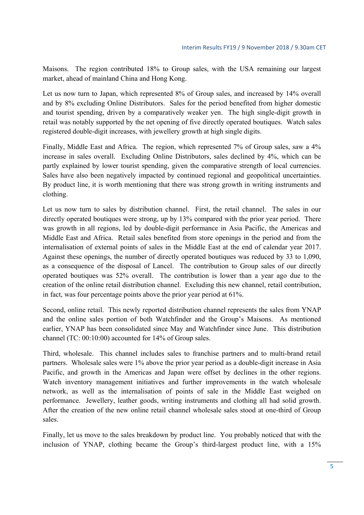Maisons. The region contributed 18% to Group sales, with the USA remaining our largest market, ahead of mainland China and Hong Kong.

Let us now turn to Japan, which represented 8% of Group sales, and increased by 14% overall and by 8% excluding Online Distributors. Sales for the period benefited from higher domestic and tourist spending, driven by a comparatively weaker yen. The high single-digit growth in retail was notably supported by the net opening of five directly operated boutiques. Watch sales registered double-digit increases, with jewellery growth at high single digits.

Finally, Middle East and Africa. The region, which represented 7% of Group sales, saw a 4% increase in sales overall. Excluding Online Distributors, sales declined by 4%, which can be partly explained by lower tourist spending, given the comparative strength of local currencies. Sales have also been negatively impacted by continued regional and geopolitical uncertainties. By product line, it is worth mentioning that there was strong growth in writing instruments and clothing.

Let us now turn to sales by distribution channel. First, the retail channel. The sales in our directly operated boutiques were strong, up by 13% compared with the prior year period. There was growth in all regions, led by double-digit performance in Asia Pacific, the Americas and Middle East and Africa. Retail sales benefited from store openings in the period and from the internalisation of external points of sales in the Middle East at the end of calendar year 2017. Against these openings, the number of directly operated boutiques was reduced by 33 to 1,090, as a consequence of the disposal of Lancel. The contribution to Group sales of our directly operated boutiques was 52% overall. The contribution is lower than a year ago due to the creation of the online retail distribution channel. Excluding this new channel, retail contribution, in fact, was four percentage points above the prior year period at 61%.

Second, online retail. This newly reported distribution channel represents the sales from YNAP and the online sales portion of both Watchfinder and the Group's Maisons. As mentioned earlier, YNAP has been consolidated since May and Watchfinder since June. This distribution channel (TC: 00:10:00) accounted for 14% of Group sales.

Third, wholesale. This channel includes sales to franchise partners and to multi-brand retail partners. Wholesale sales were 1% above the prior year period as a double-digit increase in Asia Pacific, and growth in the Americas and Japan were offset by declines in the other regions. Watch inventory management initiatives and further improvements in the watch wholesale network, as well as the internalisation of points of sale in the Middle East weighed on performance. Jewellery, leather goods, writing instruments and clothing all had solid growth. After the creation of the new online retail channel wholesale sales stood at one-third of Group sales.

Finally, let us move to the sales breakdown by product line. You probably noticed that with the inclusion of YNAP, clothing became the Group's third-largest product line, with a 15%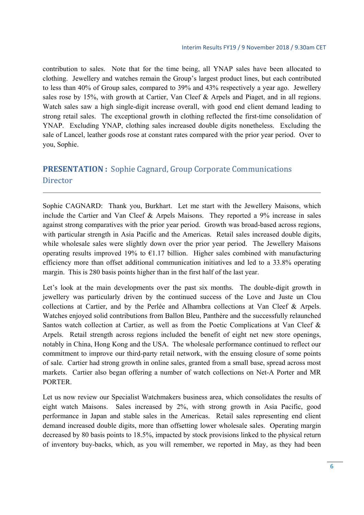contribution to sales. Note that for the time being, all YNAP sales have been allocated to clothing. Jewellery and watches remain the Group's largest product lines, but each contributed to less than 40% of Group sales, compared to 39% and 43% respectively a year ago. Jewellery sales rose by 15%, with growth at Cartier, Van Cleef & Arpels and Piaget, and in all regions. Watch sales saw a high single-digit increase overall, with good end client demand leading to strong retail sales. The exceptional growth in clothing reflected the first-time consolidation of YNAP. Excluding YNAP, clothing sales increased double digits nonetheless. Excluding the sale of Lancel, leather goods rose at constant rates compared with the prior year period. Over to you, Sophie.

# **PRESENTATION** : Sophie Cagnard, Group Corporate Communications Director

Sophie CAGNARD: Thank you, Burkhart. Let me start with the Jewellery Maisons, which include the Cartier and Van Cleef & Arpels Maisons. They reported a 9% increase in sales against strong comparatives with the prior year period. Growth was broad-based across regions, with particular strength in Asia Pacific and the Americas. Retail sales increased double digits, while wholesale sales were slightly down over the prior year period. The Jewellery Maisons operating results improved 19% to  $\epsilon$ 1.17 billion. Higher sales combined with manufacturing efficiency more than offset additional communication initiatives and led to a 33.8% operating margin. This is 280 basis points higher than in the first half of the last year.

Let's look at the main developments over the past six months. The double-digit growth in jewellery was particularly driven by the continued success of the Love and Juste un Clou collections at Cartier, and by the Perlée and Alhambra collections at Van Cleef & Arpels. Watches enjoyed solid contributions from Ballon Bleu, Panthère and the successfully relaunched Santos watch collection at Cartier, as well as from the Poetic Complications at Van Cleef & Arpels. Retail strength across regions included the benefit of eight net new store openings, notably in China, Hong Kong and the USA. The wholesale performance continued to reflect our commitment to improve our third-party retail network, with the ensuing closure of some points of sale. Cartier had strong growth in online sales, granted from a small base, spread across most markets. Cartier also began offering a number of watch collections on Net-A Porter and MR PORTER.

Let us now review our Specialist Watchmakers business area, which consolidates the results of eight watch Maisons. Sales increased by 2%, with strong growth in Asia Pacific, good performance in Japan and stable sales in the Americas. Retail sales representing end client demand increased double digits, more than offsetting lower wholesale sales. Operating margin decreased by 80 basis points to 18.5%, impacted by stock provisions linked to the physical return of inventory buy-backs, which, as you will remember, we reported in May, as they had been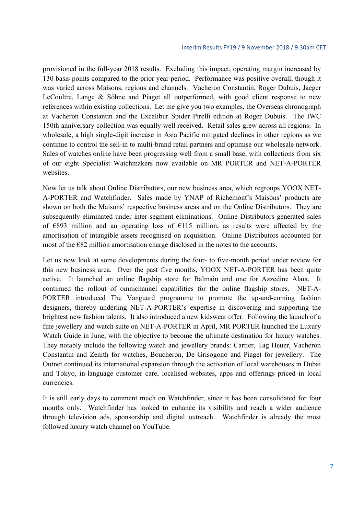provisioned in the full-year 2018 results. Excluding this impact, operating margin increased by 130 basis points compared to the prior year period. Performance was positive overall, though it was varied across Maisons, regions and channels. Vacheron Constantin, Roger Dubuis, Jaeger LeCoultre, Lange & Söhne and Piaget all outperformed, with good client response to new references within existing collections. Let me give you two examples, the Overseas chronograph at Vacheron Constantin and the Excalibur Spider Pirelli edition at Roger Dubuis. The IWC 150th anniversary collection was equally well received. Retail sales grew across all regions. In wholesale, a high single-digit increase in Asia Pacific mitigated declines in other regions as we continue to control the sell-in to multi-brand retail partners and optimise our wholesale network. Sales of watches online have been progressing well from a small base, with collections from six of our eight Specialist Watchmakers now available on MR PORTER and NET-A-PORTER websites.

Now let us talk about Online Distributors, our new business area, which regroups YOOX NET-A-PORTER and Watchfinder. Sales made by YNAP of Richemont's Maisons' products are shown on both the Maisons' respective business areas and on the Online Distributors. They are subsequently eliminated under inter-segment eliminations. Online Distributors generated sales of €893 million and an operating loss of €115 million, as results were affected by the amortisation of intangible assets recognised on acquisition. Online Distributors accounted for most of the  $E$ 82 million amortisation charge disclosed in the notes to the accounts.

Let us now look at some developments during the four- to five-month period under review for this new business area. Over the past five months, YOOX NET-A-PORTER has been quite active. It launched an online flagship store for Balmain and one for Azzedine Alaïa. It continued the rollout of omnichannel capabilities for the online flagship stores. NET-A-PORTER introduced The Vanguard programme to promote the up-and-coming fashion designers, thereby underling NET-A-PORTER's expertise in discovering and supporting the brightest new fashion talents. It also introduced a new kidswear offer. Following the launch of a fine jewellery and watch suite on NET-A-PORTER in April, MR PORTER launched the Luxury Watch Guide in June, with the objective to become the ultimate destination for luxury watches. They notably include the following watch and jewellery brands: Cartier, Tag Heuer, Vacheron Constantin and Zenith for watches, Boucheron, De Grisogono and Piaget for jewellery. The Outnet continued its international expansion through the activation of local warehouses in Dubai and Tokyo, in-language customer care, localised websites, apps and offerings priced in local currencies.

It is still early days to comment much on Watchfinder, since it has been consolidated for four months only. Watchfinder has looked to enhance its visibility and reach a wider audience through television ads, sponsorship and digital outreach. Watchfinder is already the most followed luxury watch channel on YouTube.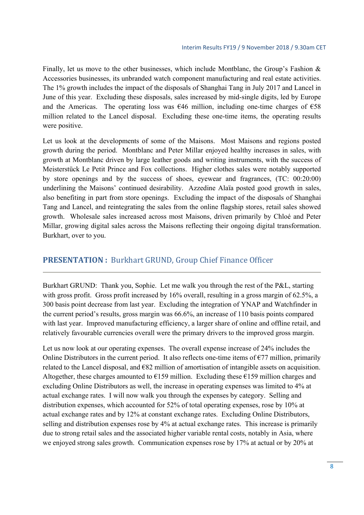Finally, let us move to the other businesses, which include Montblanc, the Group's Fashion & Accessories businesses, its unbranded watch component manufacturing and real estate activities. The 1% growth includes the impact of the disposals of Shanghai Tang in July 2017 and Lancel in June of this year. Excluding these disposals, sales increased by mid-single digits, led by Europe and the Americas. The operating loss was  $\epsilon$ 46 million, including one-time charges of  $\epsilon$ 58 million related to the Lancel disposal. Excluding these one-time items, the operating results were positive.

Let us look at the developments of some of the Maisons. Most Maisons and regions posted growth during the period. Montblanc and Peter Millar enjoyed healthy increases in sales, with growth at Montblanc driven by large leather goods and writing instruments, with the success of Meisterstück Le Petit Prince and Fox collections. Higher clothes sales were notably supported by store openings and by the success of shoes, eyewear and fragrances, (TC: 00:20:00) underlining the Maisons' continued desirability. Azzedine Alaïa posted good growth in sales, also benefiting in part from store openings. Excluding the impact of the disposals of Shanghai Tang and Lancel, and reintegrating the sales from the online flagship stores, retail sales showed growth. Wholesale sales increased across most Maisons, driven primarily by Chloé and Peter Millar, growing digital sales across the Maisons reflecting their ongoing digital transformation. Burkhart, over to you.

## **PRESENTATION** : Burkhart GRUND, Group Chief Finance Officer

Burkhart GRUND: Thank you, Sophie. Let me walk you through the rest of the P&L, starting with gross profit. Gross profit increased by 16% overall, resulting in a gross margin of 62.5%, a 300 basis point decrease from last year. Excluding the integration of YNAP and Watchfinder in the current period's results, gross margin was 66.6%, an increase of 110 basis points compared with last year. Improved manufacturing efficiency, a larger share of online and offline retail, and relatively favourable currencies overall were the primary drivers to the improved gross margin.

Let us now look at our operating expenses. The overall expense increase of 24% includes the Online Distributors in the current period. It also reflects one-time items of  $\epsilon$ 77 million, primarily related to the Lancel disposal, and €82 million of amortisation of intangible assets on acquisition. Altogether, these charges amounted to  $E$ 159 million. Excluding these  $E$ 159 million charges and excluding Online Distributors as well, the increase in operating expenses was limited to 4% at actual exchange rates. I will now walk you through the expenses by category. Selling and distribution expenses, which accounted for 52% of total operating expenses, rose by 10% at actual exchange rates and by 12% at constant exchange rates. Excluding Online Distributors, selling and distribution expenses rose by 4% at actual exchange rates. This increase is primarily due to strong retail sales and the associated higher variable rental costs, notably in Asia, where we enjoyed strong sales growth. Communication expenses rose by 17% at actual or by 20% at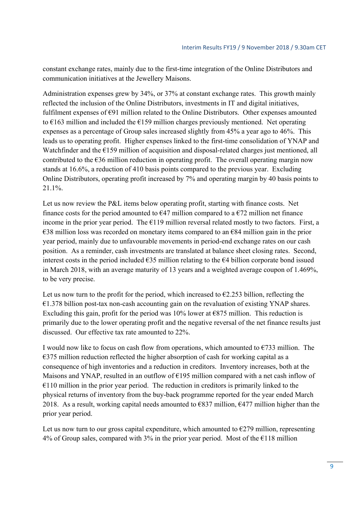constant exchange rates, mainly due to the first-time integration of the Online Distributors and communication initiatives at the Jewellery Maisons.

Administration expenses grew by 34%, or 37% at constant exchange rates. This growth mainly reflected the inclusion of the Online Distributors, investments in IT and digital initiatives, fulfilment expenses of  $E91$  million related to the Online Distributors. Other expenses amounted to  $\epsilon$ 163 million and included the  $\epsilon$ 159 million charges previously mentioned. Net operating expenses as a percentage of Group sales increased slightly from 45% a year ago to 46%. This leads us to operating profit. Higher expenses linked to the first-time consolidation of YNAP and Watchfinder and the €159 million of acquisition and disposal-related charges just mentioned, all contributed to the  $\epsilon$ 36 million reduction in operating profit. The overall operating margin now stands at 16.6%, a reduction of 410 basis points compared to the previous year. Excluding Online Distributors, operating profit increased by 7% and operating margin by 40 basis points to 21.1%.

Let us now review the P&L items below operating profit, starting with finance costs. Net finance costs for the period amounted to  $\epsilon$ 47 million compared to a  $\epsilon$ 72 million net finance income in the prior year period. The  $E119$  million reversal related mostly to two factors. First, a  $\epsilon$ 38 million loss was recorded on monetary items compared to an  $\epsilon$ 84 million gain in the prior year period, mainly due to unfavourable movements in period-end exchange rates on our cash position. As a reminder, cash investments are translated at balance sheet closing rates. Second, interest costs in the period included €35 million relating to the €4 billion corporate bond issued in March 2018, with an average maturity of 13 years and a weighted average coupon of 1.469%, to be very precise.

Let us now turn to the profit for the period, which increased to  $\epsilon$ 2.253 billion, reflecting the €1.378 billion post-tax non-cash accounting gain on the revaluation of existing YNAP shares. Excluding this gain, profit for the period was 10% lower at  $\epsilon$ 875 million. This reduction is primarily due to the lower operating profit and the negative reversal of the net finance results just discussed. Our effective tax rate amounted to 22%.

I would now like to focus on cash flow from operations, which amounted to  $\epsilon$ 733 million. The  $\epsilon$ 375 million reduction reflected the higher absorption of cash for working capital as a consequence of high inventories and a reduction in creditors. Inventory increases, both at the Maisons and YNAP, resulted in an outflow of €195 million compared with a net cash inflow of  $€110$  million in the prior year period. The reduction in creditors is primarily linked to the physical returns of inventory from the buy-back programme reported for the year ended March 2018. As a result, working capital needs amounted to  $\epsilon$ 837 million,  $\epsilon$ 477 million higher than the prior year period.

Let us now turn to our gross capital expenditure, which amounted to  $E279$  million, representing 4% of Group sales, compared with 3% in the prior year period. Most of the  $\epsilon$ 118 million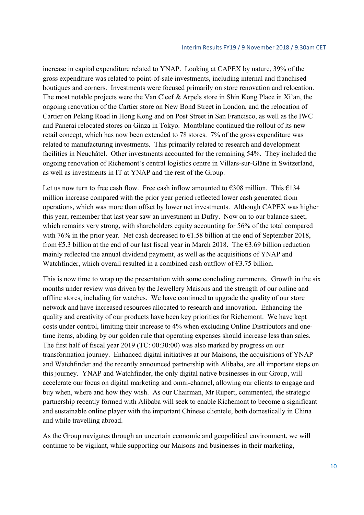increase in capital expenditure related to YNAP. Looking at CAPEX by nature, 39% of the gross expenditure was related to point-of-sale investments, including internal and franchised boutiques and corners. Investments were focused primarily on store renovation and relocation. The most notable projects were the Van Cleef & Arpels store in Shin Kong Place in Xi'an, the ongoing renovation of the Cartier store on New Bond Street in London, and the relocation of Cartier on Peking Road in Hong Kong and on Post Street in San Francisco, as well as the IWC and Panerai relocated stores on Ginza in Tokyo. Montblanc continued the rollout of its new retail concept, which has now been extended to 78 stores. 7% of the gross expenditure was related to manufacturing investments. This primarily related to research and development facilities in Neuchâtel. Other investments accounted for the remaining 54%. They included the ongoing renovation of Richemont's central logistics centre in Villars-sur-Glâne in Switzerland, as well as investments in IT at YNAP and the rest of the Group.

Let us now turn to free cash flow. Free cash inflow amounted to  $\epsilon$ 308 million. This  $\epsilon$ 134 million increase compared with the prior year period reflected lower cash generated from operations, which was more than offset by lower net investments. Although CAPEX was higher this year, remember that last year saw an investment in Dufry. Now on to our balance sheet, which remains very strong, with shareholders equity accounting for 56% of the total compared with 76% in the prior year. Net cash decreased to  $\epsilon$ 1.58 billion at the end of September 2018, from  $65.3$  billion at the end of our last fiscal year in March 2018. The  $63.69$  billion reduction mainly reflected the annual dividend payment, as well as the acquisitions of YNAP and Watchfinder, which overall resulted in a combined cash outflow of  $63.75$  billion.

This is now time to wrap up the presentation with some concluding comments. Growth in the six months under review was driven by the Jewellery Maisons and the strength of our online and offline stores, including for watches. We have continued to upgrade the quality of our store network and have increased resources allocated to research and innovation. Enhancing the quality and creativity of our products have been key priorities for Richemont. We have kept costs under control, limiting their increase to 4% when excluding Online Distributors and onetime items, abiding by our golden rule that operating expenses should increase less than sales. The first half of fiscal year 2019 (TC: 00:30:00) was also marked by progress on our transformation journey. Enhanced digital initiatives at our Maisons, the acquisitions of YNAP and Watchfinder and the recently announced partnership with Alibaba, are all important steps on this journey. YNAP and Watchfinder, the only digital native businesses in our Group, will accelerate our focus on digital marketing and omni-channel, allowing our clients to engage and buy when, where and how they wish. As our Chairman, Mr Rupert, commented, the strategic partnership recently formed with Alibaba will seek to enable Richemont to become a significant and sustainable online player with the important Chinese clientele, both domestically in China and while travelling abroad.

As the Group navigates through an uncertain economic and geopolitical environment, we will continue to be vigilant, while supporting our Maisons and businesses in their marketing,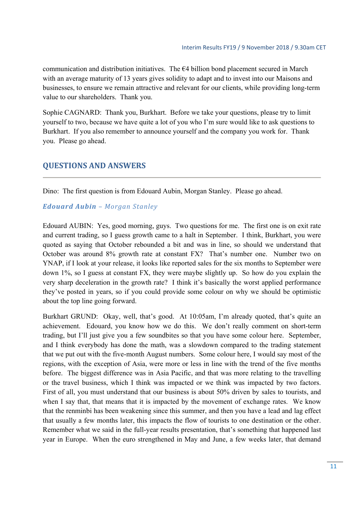communication and distribution initiatives. The  $64$  billion bond placement secured in March with an average maturity of 13 years gives solidity to adapt and to invest into our Maisons and businesses, to ensure we remain attractive and relevant for our clients, while providing long-term value to our shareholders. Thank you.

Sophie CAGNARD: Thank you, Burkhart. Before we take your questions, please try to limit yourself to two, because we have quite a lot of you who I'm sure would like to ask questions to Burkhart. If you also remember to announce yourself and the company you work for. Thank you. Please go ahead.

# **QUESTIONS AND ANSWERS**

Dino: The first question is from Edouard Aubin, Morgan Stanley. Please go ahead.

#### *Edouard Aubin – Morgan Stanley*

Edouard AUBIN: Yes, good morning, guys. Two questions for me. The first one is on exit rate and current trading, so I guess growth came to a halt in September. I think, Burkhart, you were quoted as saying that October rebounded a bit and was in line, so should we understand that October was around 8% growth rate at constant FX? That's number one. Number two on YNAP, if I look at your release, it looks like reported sales for the six months to September were down 1%, so I guess at constant FX, they were maybe slightly up. So how do you explain the very sharp deceleration in the growth rate? I think it's basically the worst applied performance they've posted in years, so if you could provide some colour on why we should be optimistic about the top line going forward.

Burkhart GRUND: Okay, well, that's good. At 10:05am, I'm already quoted, that's quite an achievement. Edouard, you know how we do this. We don't really comment on short-term trading, but I'll just give you a few soundbites so that you have some colour here. September, and I think everybody has done the math, was a slowdown compared to the trading statement that we put out with the five-month August numbers. Some colour here, I would say most of the regions, with the exception of Asia, were more or less in line with the trend of the five months before. The biggest difference was in Asia Pacific, and that was more relating to the travelling or the travel business, which I think was impacted or we think was impacted by two factors. First of all, you must understand that our business is about 50% driven by sales to tourists, and when I say that, that means that it is impacted by the movement of exchange rates. We know that the renminbi has been weakening since this summer, and then you have a lead and lag effect that usually a few months later, this impacts the flow of tourists to one destination or the other. Remember what we said in the full-year results presentation, that's something that happened last year in Europe. When the euro strengthened in May and June, a few weeks later, that demand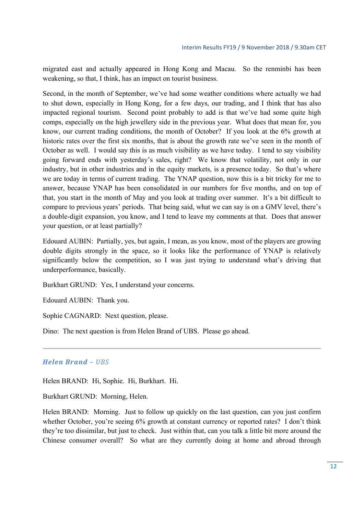migrated east and actually appeared in Hong Kong and Macau. So the renminbi has been weakening, so that, I think, has an impact on tourist business.

Second, in the month of September, we've had some weather conditions where actually we had to shut down, especially in Hong Kong, for a few days, our trading, and I think that has also impacted regional tourism. Second point probably to add is that we've had some quite high comps, especially on the high jewellery side in the previous year. What does that mean for, you know, our current trading conditions, the month of October? If you look at the 6% growth at historic rates over the first six months, that is about the growth rate we've seen in the month of October as well. I would say this is as much visibility as we have today. I tend to say visibility going forward ends with yesterday's sales, right? We know that volatility, not only in our industry, but in other industries and in the equity markets, is a presence today. So that's where we are today in terms of current trading. The YNAP question, now this is a bit tricky for me to answer, because YNAP has been consolidated in our numbers for five months, and on top of that, you start in the month of May and you look at trading over summer. It's a bit difficult to compare to previous years' periods. That being said, what we can say is on a GMV level, there's a double-digit expansion, you know, and I tend to leave my comments at that. Does that answer your question, or at least partially?

Edouard AUBIN: Partially, yes, but again, I mean, as you know, most of the players are growing double digits strongly in the space, so it looks like the performance of YNAP is relatively significantly below the competition, so I was just trying to understand what's driving that underperformance, basically.

Burkhart GRUND: Yes, I understand your concerns.

Edouard AUBIN: Thank you.

Sophie CAGNARD: Next question, please.

Dino: The next question is from Helen Brand of UBS. Please go ahead.

#### *Helen Brand – UBS*

Helen BRAND: Hi, Sophie. Hi, Burkhart. Hi.

Burkhart GRUND: Morning, Helen.

Helen BRAND: Morning. Just to follow up quickly on the last question, can you just confirm whether October, you're seeing 6% growth at constant currency or reported rates? I don't think they're too dissimilar, but just to check. Just within that, can you talk a little bit more around the Chinese consumer overall? So what are they currently doing at home and abroad through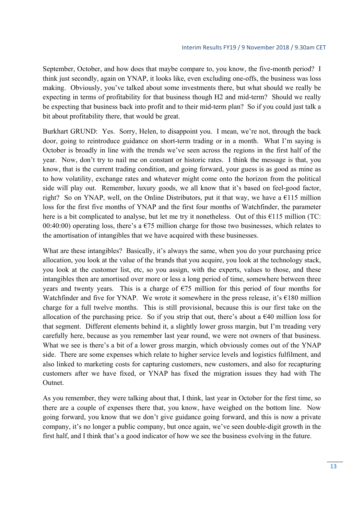September, October, and how does that maybe compare to, you know, the five-month period? I think just secondly, again on YNAP, it looks like, even excluding one-offs, the business was loss making. Obviously, you've talked about some investments there, but what should we really be expecting in terms of profitability for that business though H2 and mid-term? Should we really be expecting that business back into profit and to their mid-term plan? So if you could just talk a bit about profitability there, that would be great.

Burkhart GRUND: Yes. Sorry, Helen, to disappoint you. I mean, we're not, through the back door, going to reintroduce guidance on short-term trading or in a month. What I'm saying is October is broadly in line with the trends we've seen across the regions in the first half of the year. Now, don't try to nail me on constant or historic rates. I think the message is that, you know, that is the current trading condition, and going forward, your guess is as good as mine as to how volatility, exchange rates and whatever might come onto the horizon from the political side will play out. Remember, luxury goods, we all know that it's based on feel-good factor, right? So on YNAP, well, on the Online Distributors, put it that way, we have a  $\epsilon$ 115 million loss for the first five months of YNAP and the first four months of Watchfinder, the parameter here is a bit complicated to analyse, but let me try it nonetheless. Out of this €115 million (TC: 00:40:00) operating loss, there's a  $E$ 75 million charge for those two businesses, which relates to the amortisation of intangibles that we have acquired with these businesses.

What are these intangibles? Basically, it's always the same, when you do your purchasing price allocation, you look at the value of the brands that you acquire, you look at the technology stack, you look at the customer list, etc, so you assign, with the experts, values to those, and these intangibles then are amortised over more or less a long period of time, somewhere between three years and twenty years. This is a charge of  $E$ 75 million for this period of four months for Watchfinder and five for YNAP. We wrote it somewhere in the press release, it's  $\epsilon$ 180 million charge for a full twelve months. This is still provisional, because this is our first take on the allocation of the purchasing price. So if you strip that out, there's about a  $\epsilon$ 40 million loss for that segment. Different elements behind it, a slightly lower gross margin, but I'm treading very carefully here, because as you remember last year round, we were not owners of that business. What we see is there's a bit of a lower gross margin, which obviously comes out of the YNAP side. There are some expenses which relate to higher service levels and logistics fulfilment, and also linked to marketing costs for capturing customers, new customers, and also for recapturing customers after we have fixed, or YNAP has fixed the migration issues they had with The Outnet.

As you remember, they were talking about that, I think, last year in October for the first time, so there are a couple of expenses there that, you know, have weighed on the bottom line. Now going forward, you know that we don't give guidance going forward, and this is now a private company, it's no longer a public company, but once again, we've seen double-digit growth in the first half, and I think that's a good indicator of how we see the business evolving in the future.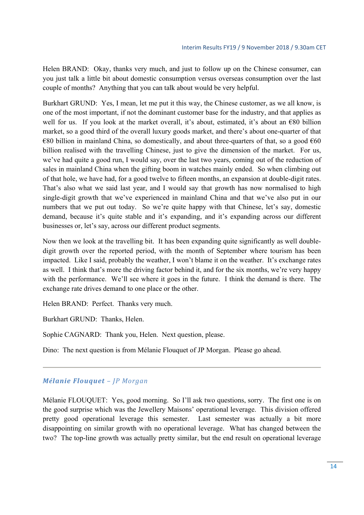Helen BRAND: Okay, thanks very much, and just to follow up on the Chinese consumer, can you just talk a little bit about domestic consumption versus overseas consumption over the last couple of months? Anything that you can talk about would be very helpful.

Burkhart GRUND: Yes, I mean, let me put it this way, the Chinese customer, as we all know, is one of the most important, if not the dominant customer base for the industry, and that applies as well for us. If you look at the market overall, it's about, estimated, it's about an  $\epsilon$ 80 billion market, so a good third of the overall luxury goods market, and there's about one-quarter of that €80 billion in mainland China, so domestically, and about three-quarters of that, so a good  $€60$ billion realised with the travelling Chinese, just to give the dimension of the market. For us, we've had quite a good run, I would say, over the last two years, coming out of the reduction of sales in mainland China when the gifting boom in watches mainly ended. So when climbing out of that hole, we have had, for a good twelve to fifteen months, an expansion at double-digit rates. That's also what we said last year, and I would say that growth has now normalised to high single-digit growth that we've experienced in mainland China and that we've also put in our numbers that we put out today. So we're quite happy with that Chinese, let's say, domestic demand, because it's quite stable and it's expanding, and it's expanding across our different businesses or, let's say, across our different product segments.

Now then we look at the travelling bit. It has been expanding quite significantly as well doubledigit growth over the reported period, with the month of September where tourism has been impacted. Like I said, probably the weather, I won't blame it on the weather. It's exchange rates as well. I think that's more the driving factor behind it, and for the six months, we're very happy with the performance. We'll see where it goes in the future. I think the demand is there. The exchange rate drives demand to one place or the other.

Helen BRAND: Perfect. Thanks very much.

Burkhart GRUND: Thanks, Helen.

Sophie CAGNARD: Thank you, Helen. Next question, please.

Dino: The next question is from Mélanie Flouquet of JP Morgan. Please go ahead.

#### *Mélanie Flouquet – JP Morgan*

Mélanie FLOUQUET: Yes, good morning. So I'll ask two questions, sorry. The first one is on the good surprise which was the Jewellery Maisons' operational leverage. This division offered pretty good operational leverage this semester. Last semester was actually a bit more disappointing on similar growth with no operational leverage. What has changed between the two? The top-line growth was actually pretty similar, but the end result on operational leverage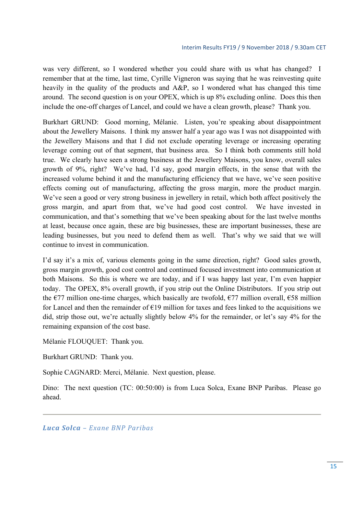was very different, so I wondered whether you could share with us what has changed? I remember that at the time, last time, Cyrille Vigneron was saying that he was reinvesting quite heavily in the quality of the products and A&P, so I wondered what has changed this time around. The second question is on your OPEX, which is up 8% excluding online. Does this then include the one-off charges of Lancel, and could we have a clean growth, please? Thank you.

Burkhart GRUND: Good morning, Mélanie. Listen, you're speaking about disappointment about the Jewellery Maisons. I think my answer half a year ago was I was not disappointed with the Jewellery Maisons and that I did not exclude operating leverage or increasing operating leverage coming out of that segment, that business area. So I think both comments still hold true. We clearly have seen a strong business at the Jewellery Maisons, you know, overall sales growth of 9%, right? We've had, I'd say, good margin effects, in the sense that with the increased volume behind it and the manufacturing efficiency that we have, we've seen positive effects coming out of manufacturing, affecting the gross margin, more the product margin. We've seen a good or very strong business in jewellery in retail, which both affect positively the gross margin, and apart from that, we've had good cost control. We have invested in communication, and that's something that we've been speaking about for the last twelve months at least, because once again, these are big businesses, these are important businesses, these are leading businesses, but you need to defend them as well. That's why we said that we will continue to invest in communication.

I'd say it's a mix of, various elements going in the same direction, right? Good sales growth, gross margin growth, good cost control and continued focused investment into communication at both Maisons. So this is where we are today, and if I was happy last year, I'm even happier today. The OPEX, 8% overall growth, if you strip out the Online Distributors. If you strip out the  $\epsilon$ 77 million one-time charges, which basically are twofold,  $\epsilon$ 77 million overall,  $\epsilon$ 58 million for Lancel and then the remainder of  $E19$  million for taxes and fees linked to the acquisitions we did, strip those out, we're actually slightly below 4% for the remainder, or let's say 4% for the remaining expansion of the cost base.

Mélanie FLOUQUET: Thank you.

Burkhart GRUND: Thank you.

Sophie CAGNARD: Merci, Mélanie. Next question, please.

Dino: The next question (TC: 00:50:00) is from Luca Solca, Exane BNP Paribas. Please go ahead.

*Luca Solca – Exane BNP Paribas*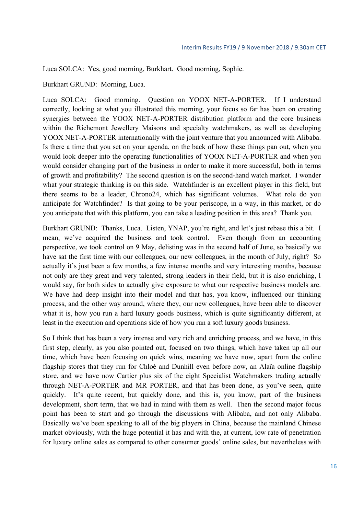Luca SOLCA: Yes, good morning, Burkhart. Good morning, Sophie.

Burkhart GRUND: Morning, Luca.

Luca SOLCA: Good morning. Question on YOOX NET-A-PORTER. If I understand correctly, looking at what you illustrated this morning, your focus so far has been on creating synergies between the YOOX NET-A-PORTER distribution platform and the core business within the Richemont Jewellery Maisons and specialty watchmakers, as well as developing YOOX NET-A-PORTER internationally with the joint venture that you announced with Alibaba. Is there a time that you set on your agenda, on the back of how these things pan out, when you would look deeper into the operating functionalities of YOOX NET-A-PORTER and when you would consider changing part of the business in order to make it more successful, both in terms of growth and profitability? The second question is on the second-hand watch market. I wonder what your strategic thinking is on this side. Watchfinder is an excellent player in this field, but there seems to be a leader, Chrono24, which has significant volumes. What role do you anticipate for Watchfinder? Is that going to be your periscope, in a way, in this market, or do you anticipate that with this platform, you can take a leading position in this area? Thank you.

Burkhart GRUND: Thanks, Luca. Listen, YNAP, you're right, and let's just rebase this a bit. I mean, we've acquired the business and took control. Even though from an accounting perspective, we took control on 9 May, delisting was in the second half of June, so basically we have sat the first time with our colleagues, our new colleagues, in the month of July, right? So actually it's just been a few months, a few intense months and very interesting months, because not only are they great and very talented, strong leaders in their field, but it is also enriching, I would say, for both sides to actually give exposure to what our respective business models are. We have had deep insight into their model and that has, you know, influenced our thinking process, and the other way around, where they, our new colleagues, have been able to discover what it is, how you run a hard luxury goods business, which is quite significantly different, at least in the execution and operations side of how you run a soft luxury goods business.

So I think that has been a very intense and very rich and enriching process, and we have, in this first step, clearly, as you also pointed out, focused on two things, which have taken up all our time, which have been focusing on quick wins, meaning we have now, apart from the online flagship stores that they run for Chloé and Dunhill even before now, an Alaïa online flagship store, and we have now Cartier plus six of the eight Specialist Watchmakers trading actually through NET-A-PORTER and MR PORTER, and that has been done, as you've seen, quite quickly. It's quite recent, but quickly done, and this is, you know, part of the business development, short term, that we had in mind with them as well. Then the second major focus point has been to start and go through the discussions with Alibaba, and not only Alibaba. Basically we've been speaking to all of the big players in China, because the mainland Chinese market obviously, with the huge potential it has and with the, at current, low rate of penetration for luxury online sales as compared to other consumer goods' online sales, but nevertheless with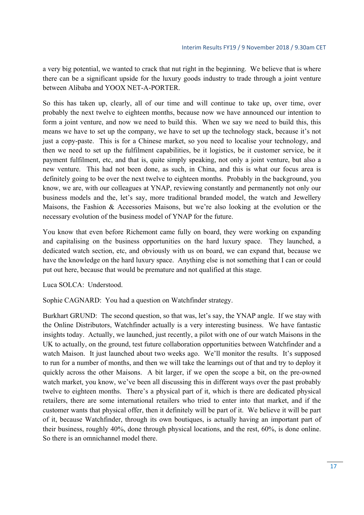a very big potential, we wanted to crack that nut right in the beginning. We believe that is where there can be a significant upside for the luxury goods industry to trade through a joint venture between Alibaba and YOOX NET-A-PORTER.

So this has taken up, clearly, all of our time and will continue to take up, over time, over probably the next twelve to eighteen months, because now we have announced our intention to form a joint venture, and now we need to build this. When we say we need to build this, this means we have to set up the company, we have to set up the technology stack, because it's not just a copy-paste. This is for a Chinese market, so you need to localise your technology, and then we need to set up the fulfilment capabilities, be it logistics, be it customer service, be it payment fulfilment, etc, and that is, quite simply speaking, not only a joint venture, but also a new venture. This had not been done, as such, in China, and this is what our focus area is definitely going to be over the next twelve to eighteen months. Probably in the background, you know, we are, with our colleagues at YNAP, reviewing constantly and permanently not only our business models and the, let's say, more traditional branded model, the watch and Jewellery Maisons, the Fashion & Accessories Maisons, but we're also looking at the evolution or the necessary evolution of the business model of YNAP for the future.

You know that even before Richemont came fully on board, they were working on expanding and capitalising on the business opportunities on the hard luxury space. They launched, a dedicated watch section, etc, and obviously with us on board, we can expand that, because we have the knowledge on the hard luxury space. Anything else is not something that I can or could put out here, because that would be premature and not qualified at this stage.

Luca SOLCA: Understood.

Sophie CAGNARD: You had a question on Watchfinder strategy.

Burkhart GRUND: The second question, so that was, let's say, the YNAP angle. If we stay with the Online Distributors, Watchfinder actually is a very interesting business. We have fantastic insights today. Actually, we launched, just recently, a pilot with one of our watch Maisons in the UK to actually, on the ground, test future collaboration opportunities between Watchfinder and a watch Maison. It just launched about two weeks ago. We'll monitor the results. It's supposed to run for a number of months, and then we will take the learnings out of that and try to deploy it quickly across the other Maisons. A bit larger, if we open the scope a bit, on the pre-owned watch market, you know, we've been all discussing this in different ways over the past probably twelve to eighteen months. There's a physical part of it, which is there are dedicated physical retailers, there are some international retailers who tried to enter into that market, and if the customer wants that physical offer, then it definitely will be part of it. We believe it will be part of it, because Watchfinder, through its own boutiques, is actually having an important part of their business, roughly 40%, done through physical locations, and the rest, 60%, is done online. So there is an omnichannel model there.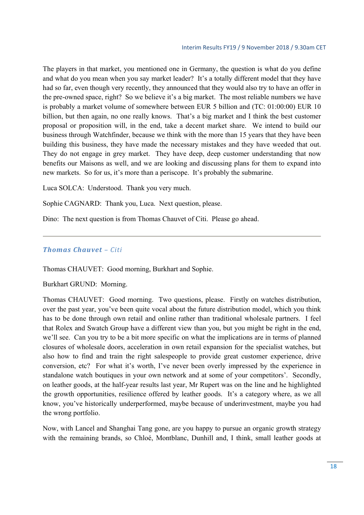The players in that market, you mentioned one in Germany, the question is what do you define and what do you mean when you say market leader? It's a totally different model that they have had so far, even though very recently, they announced that they would also try to have an offer in the pre-owned space, right? So we believe it's a big market. The most reliable numbers we have is probably a market volume of somewhere between EUR 5 billion and (TC: 01:00:00) EUR 10 billion, but then again, no one really knows. That's a big market and I think the best customer proposal or proposition will, in the end, take a decent market share. We intend to build our business through Watchfinder, because we think with the more than 15 years that they have been building this business, they have made the necessary mistakes and they have weeded that out. They do not engage in grey market. They have deep, deep customer understanding that now benefits our Maisons as well, and we are looking and discussing plans for them to expand into new markets. So for us, it's more than a periscope. It's probably the submarine.

Luca SOLCA: Understood. Thank you very much.

Sophie CAGNARD: Thank you, Luca. Next question, please.

Dino: The next question is from Thomas Chauvet of Citi. Please go ahead.

#### *Thomas Chauvet – Citi*

Thomas CHAUVET: Good morning, Burkhart and Sophie.

Burkhart GRUND: Morning.

Thomas CHAUVET: Good morning. Two questions, please. Firstly on watches distribution, over the past year, you've been quite vocal about the future distribution model, which you think has to be done through own retail and online rather than traditional wholesale partners. I feel that Rolex and Swatch Group have a different view than you, but you might be right in the end, we'll see. Can you try to be a bit more specific on what the implications are in terms of planned closures of wholesale doors, acceleration in own retail expansion for the specialist watches, but also how to find and train the right salespeople to provide great customer experience, drive conversion, etc? For what it's worth, I've never been overly impressed by the experience in standalone watch boutiques in your own network and at some of your competitors'. Secondly, on leather goods, at the half-year results last year, Mr Rupert was on the line and he highlighted the growth opportunities, resilience offered by leather goods. It's a category where, as we all know, you've historically underperformed, maybe because of underinvestment, maybe you had the wrong portfolio.

Now, with Lancel and Shanghai Tang gone, are you happy to pursue an organic growth strategy with the remaining brands, so Chloé, Montblanc, Dunhill and, I think, small leather goods at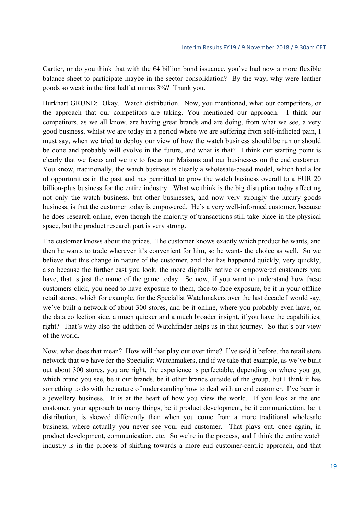Cartier, or do you think that with the  $64$  billion bond issuance, you've had now a more flexible balance sheet to participate maybe in the sector consolidation? By the way, why were leather goods so weak in the first half at minus 3%? Thank you.

Burkhart GRUND: Okay. Watch distribution. Now, you mentioned, what our competitors, or the approach that our competitors are taking. You mentioned our approach. I think our competitors, as we all know, are having great brands and are doing, from what we see, a very good business, whilst we are today in a period where we are suffering from self-inflicted pain, I must say, when we tried to deploy our view of how the watch business should be run or should be done and probably will evolve in the future, and what is that? I think our starting point is clearly that we focus and we try to focus our Maisons and our businesses on the end customer. You know, traditionally, the watch business is clearly a wholesale-based model, which had a lot of opportunities in the past and has permitted to grow the watch business overall to a EUR 20 billion-plus business for the entire industry. What we think is the big disruption today affecting not only the watch business, but other businesses, and now very strongly the luxury goods business, is that the customer today is empowered. He's a very well-informed customer, because he does research online, even though the majority of transactions still take place in the physical space, but the product research part is very strong.

The customer knows about the prices. The customer knows exactly which product he wants, and then he wants to trade wherever it's convenient for him, so he wants the choice as well. So we believe that this change in nature of the customer, and that has happened quickly, very quickly, also because the further east you look, the more digitally native or empowered customers you have, that is just the name of the game today. So now, if you want to understand how these customers click, you need to have exposure to them, face-to-face exposure, be it in your offline retail stores, which for example, for the Specialist Watchmakers over the last decade I would say, we've built a network of about 300 stores, and be it online, where you probably even have, on the data collection side, a much quicker and a much broader insight, if you have the capabilities, right? That's why also the addition of Watchfinder helps us in that journey. So that's our view of the world.

Now, what does that mean? How will that play out over time? I've said it before, the retail store network that we have for the Specialist Watchmakers, and if we take that example, as we've built out about 300 stores, you are right, the experience is perfectable, depending on where you go, which brand you see, be it our brands, be it other brands outside of the group, but I think it has something to do with the nature of understanding how to deal with an end customer. I've been in a jewellery business. It is at the heart of how you view the world. If you look at the end customer, your approach to many things, be it product development, be it communication, be it distribution, is skewed differently than when you come from a more traditional wholesale business, where actually you never see your end customer. That plays out, once again, in product development, communication, etc. So we're in the process, and I think the entire watch industry is in the process of shifting towards a more end customer-centric approach, and that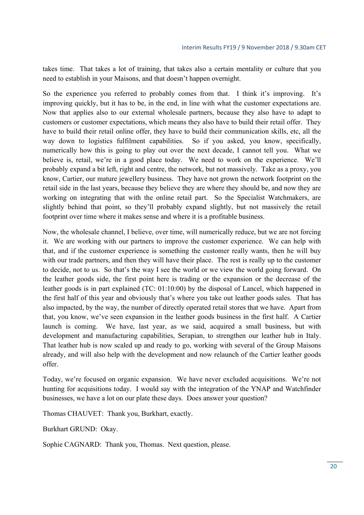takes time. That takes a lot of training, that takes also a certain mentality or culture that you need to establish in your Maisons, and that doesn't happen overnight.

So the experience you referred to probably comes from that. I think it's improving. It's improving quickly, but it has to be, in the end, in line with what the customer expectations are. Now that applies also to our external wholesale partners, because they also have to adapt to customers or customer expectations, which means they also have to build their retail offer. They have to build their retail online offer, they have to build their communication skills, etc, all the way down to logistics fulfilment capabilities. So if you asked, you know, specifically, numerically how this is going to play out over the next decade, I cannot tell you. What we believe is, retail, we're in a good place today. We need to work on the experience. We'll probably expand a bit left, right and centre, the network, but not massively. Take as a proxy, you know, Cartier, our mature jewellery business. They have not grown the network footprint on the retail side in the last years, because they believe they are where they should be, and now they are working on integrating that with the online retail part. So the Specialist Watchmakers, are slightly behind that point, so they'll probably expand slightly, but not massively the retail footprint over time where it makes sense and where it is a profitable business.

Now, the wholesale channel, I believe, over time, will numerically reduce, but we are not forcing it. We are working with our partners to improve the customer experience. We can help with that, and if the customer experience is something the customer really wants, then he will buy with our trade partners, and then they will have their place. The rest is really up to the customer to decide, not to us. So that's the way I see the world or we view the world going forward. On the leather goods side, the first point here is trading or the expansion or the decrease of the leather goods is in part explained (TC: 01:10:00) by the disposal of Lancel, which happened in the first half of this year and obviously that's where you take out leather goods sales. That has also impacted, by the way, the number of directly operated retail stores that we have. Apart from that, you know, we've seen expansion in the leather goods business in the first half. A Cartier launch is coming. We have, last year, as we said, acquired a small business, but with development and manufacturing capabilities, Serapian, to strengthen our leather hub in Italy. That leather hub is now scaled up and ready to go, working with several of the Group Maisons already, and will also help with the development and now relaunch of the Cartier leather goods offer.

Today, we're focused on organic expansion. We have never excluded acquisitions. We're not hunting for acquisitions today. I would say with the integration of the YNAP and Watchfinder businesses, we have a lot on our plate these days. Does answer your question?

Thomas CHAUVET: Thank you, Burkhart, exactly.

Burkhart GRUND: Okay.

Sophie CAGNARD: Thank you, Thomas. Next question, please.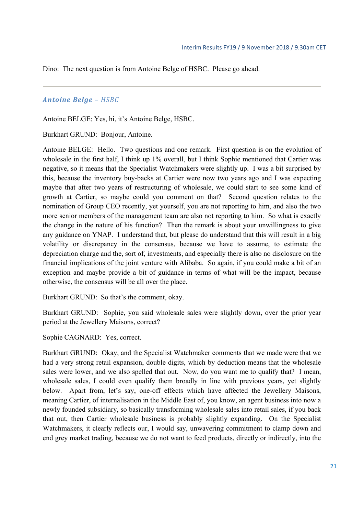Dino: The next question is from Antoine Belge of HSBC. Please go ahead.

#### *Antoine Belge – HSBC*

Antoine BELGE: Yes, hi, it's Antoine Belge, HSBC.

Burkhart GRUND: Bonjour, Antoine.

Antoine BELGE: Hello. Two questions and one remark. First question is on the evolution of wholesale in the first half, I think up 1% overall, but I think Sophie mentioned that Cartier was negative, so it means that the Specialist Watchmakers were slightly up. I was a bit surprised by this, because the inventory buy-backs at Cartier were now two years ago and I was expecting maybe that after two years of restructuring of wholesale, we could start to see some kind of growth at Cartier, so maybe could you comment on that? Second question relates to the nomination of Group CEO recently, yet yourself, you are not reporting to him, and also the two more senior members of the management team are also not reporting to him. So what is exactly the change in the nature of his function? Then the remark is about your unwillingness to give any guidance on YNAP. I understand that, but please do understand that this will result in a big volatility or discrepancy in the consensus, because we have to assume, to estimate the depreciation charge and the, sort of, investments, and especially there is also no disclosure on the financial implications of the joint venture with Alibaba. So again, if you could make a bit of an exception and maybe provide a bit of guidance in terms of what will be the impact, because otherwise, the consensus will be all over the place.

Burkhart GRUND: So that's the comment, okay.

Burkhart GRUND: Sophie, you said wholesale sales were slightly down, over the prior year period at the Jewellery Maisons, correct?

Sophie CAGNARD: Yes, correct.

Burkhart GRUND: Okay, and the Specialist Watchmaker comments that we made were that we had a very strong retail expansion, double digits, which by deduction means that the wholesale sales were lower, and we also spelled that out. Now, do you want me to qualify that? I mean, wholesale sales, I could even qualify them broadly in line with previous years, yet slightly below. Apart from, let's say, one-off effects which have affected the Jewellery Maisons, meaning Cartier, of internalisation in the Middle East of, you know, an agent business into now a newly founded subsidiary, so basically transforming wholesale sales into retail sales, if you back that out, then Cartier wholesale business is probably slightly expanding. On the Specialist Watchmakers, it clearly reflects our, I would say, unwavering commitment to clamp down and end grey market trading, because we do not want to feed products, directly or indirectly, into the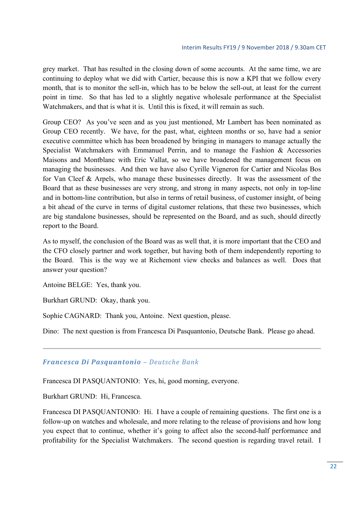grey market. That has resulted in the closing down of some accounts. At the same time, we are continuing to deploy what we did with Cartier, because this is now a KPI that we follow every month, that is to monitor the sell-in, which has to be below the sell-out, at least for the current point in time. So that has led to a slightly negative wholesale performance at the Specialist Watchmakers, and that is what it is. Until this is fixed, it will remain as such.

Group CEO? As you've seen and as you just mentioned, Mr Lambert has been nominated as Group CEO recently. We have, for the past, what, eighteen months or so, have had a senior executive committee which has been broadened by bringing in managers to manage actually the Specialist Watchmakers with Emmanuel Perrin, and to manage the Fashion & Accessories Maisons and Montblanc with Eric Vallat, so we have broadened the management focus on managing the businesses. And then we have also Cyrille Vigneron for Cartier and Nicolas Bos for Van Cleef & Arpels, who manage these businesses directly. It was the assessment of the Board that as these businesses are very strong, and strong in many aspects, not only in top-line and in bottom-line contribution, but also in terms of retail business, of customer insight, of being a bit ahead of the curve in terms of digital customer relations, that these two businesses, which are big standalone businesses, should be represented on the Board, and as such, should directly report to the Board.

As to myself, the conclusion of the Board was as well that, it is more important that the CEO and the CFO closely partner and work together, but having both of them independently reporting to the Board. This is the way we at Richemont view checks and balances as well. Does that answer your question?

Antoine BELGE: Yes, thank you.

Burkhart GRUND: Okay, thank you.

Sophie CAGNARD: Thank you, Antoine. Next question, please.

Dino: The next question is from Francesca Di Pasquantonio, Deutsche Bank. Please go ahead.

#### *Francesca Di Pasquantonio – Deutsche Bank*

Francesca DI PASQUANTONIO: Yes, hi, good morning, everyone.

Burkhart GRUND: Hi, Francesca.

Francesca DI PASQUANTONIO: Hi. I have a couple of remaining questions. The first one is a follow-up on watches and wholesale, and more relating to the release of provisions and how long you expect that to continue, whether it's going to affect also the second-half performance and profitability for the Specialist Watchmakers. The second question is regarding travel retail. I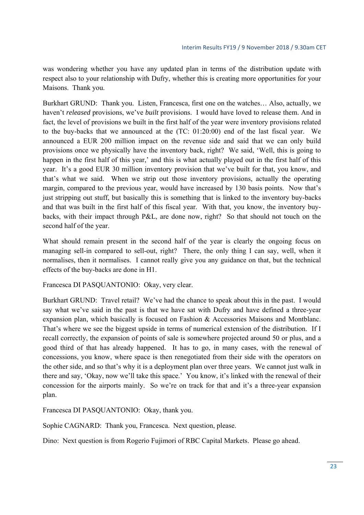was wondering whether you have any updated plan in terms of the distribution update with respect also to your relationship with Dufry, whether this is creating more opportunities for your Maisons. Thank you.

Burkhart GRUND: Thank you. Listen, Francesca, first one on the watches… Also, actually, we haven't *released* provisions, we've *built* provisions. I would have loved to release them. And in fact, the level of provisions we built in the first half of the year were inventory provisions related to the buy-backs that we announced at the (TC: 01:20:00) end of the last fiscal year. We announced a EUR 200 million impact on the revenue side and said that we can only build provisions once we physically have the inventory back, right? We said, 'Well, this is going to happen in the first half of this year,' and this is what actually played out in the first half of this year. It's a good EUR 30 million inventory provision that we've built for that, you know, and that's what we said. When we strip out those inventory provisions, actually the operating margin, compared to the previous year, would have increased by 130 basis points. Now that's just stripping out stuff, but basically this is something that is linked to the inventory buy-backs and that was built in the first half of this fiscal year. With that, you know, the inventory buybacks, with their impact through P&L, are done now, right? So that should not touch on the second half of the year.

What should remain present in the second half of the year is clearly the ongoing focus on managing sell-in compared to sell-out, right? There, the only thing I can say, well, when it normalises, then it normalises. I cannot really give you any guidance on that, but the technical effects of the buy-backs are done in H1.

Francesca DI PASQUANTONIO: Okay, very clear.

Burkhart GRUND: Travel retail? We've had the chance to speak about this in the past. I would say what we've said in the past is that we have sat with Dufry and have defined a three-year expansion plan, which basically is focused on Fashion & Accessories Maisons and Montblanc. That's where we see the biggest upside in terms of numerical extension of the distribution. If I recall correctly, the expansion of points of sale is somewhere projected around 50 or plus, and a good third of that has already happened. It has to go, in many cases, with the renewal of concessions, you know, where space is then renegotiated from their side with the operators on the other side, and so that's why it is a deployment plan over three years. We cannot just walk in there and say, 'Okay, now we'll take this space.' You know, it's linked with the renewal of their concession for the airports mainly. So we're on track for that and it's a three-year expansion plan.

Francesca DI PASQUANTONIO: Okay, thank you.

Sophie CAGNARD: Thank you, Francesca. Next question, please.

Dino: Next question is from Rogerio Fujimori of RBC Capital Markets. Please go ahead.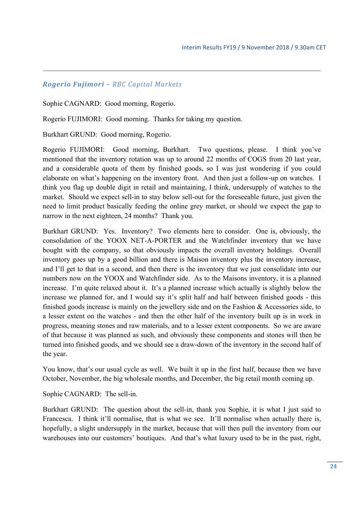#### *Rogerio Fujimori – RBC Capital Markets*

Sophie CAGNARD: Good morning, Rogerio.

Rogerio FUJIMORI: Good morning. Thanks for taking my question.

Burkhart GRUND: Good morning, Rogerio.

Rogerio FUJIMORI: Good morning, Burkhart. Two questions, please. I think you've mentioned that the inventory rotation was up to around 22 months of COGS from 20 last year, and a considerable quota of them by finished goods, so I was just wondering if you could elaborate on what's happening on the inventory front. And then just a follow-up on watches. I think you flag up double digit in retail and maintaining, I think, undersupply of watches to the market. Should we expect sell-in to stay below sell-out for the foreseeable future, just given the need to limit product basically feeding the online grey market, or should we expect the gap to narrow in the next eighteen, 24 months? Thank you.

Burkhart GRUND: Yes. Inventory? Two elements here to consider. One is, obviously, the consolidation of the YOOX NET-A-PORTER and the Watchfinder inventory that we have bought with the company, so that obviously impacts the overall inventory holdings. Overall inventory goes up by a good billion and there is Maison inventory plus the inventory increase, and I'll get to that in a second, and then there is the inventory that we just consolidate into our numbers now on the YOOX and Watchfinder side. As to the Maisons inventory, it is a planned increase. I'm quite relaxed about it. It's a planned increase which actually is slightly below the increase we planned for, and I would say it's split half and half between finished goods - this finished goods increase is mainly on the jewellery side and on the Fashion & Accessories side, to a lesser extent on the watches - and then the other half of the inventory built up is in work in progress, meaning stones and raw materials, and to a lesser extent components. So we are aware of that because it was planned as such, and obviously these components and stones will then be turned into finished goods, and we should see a draw-down of the inventory in the second half of the year.

You know, that's our usual cycle as well. We built it up in the first half, because then we have October, November, the big wholesale months, and December, the big retail month coming up.

Sophie CAGNARD: The sell-in.

Burkhart GRUND: The question about the sell-in, thank you Sophie, it is what I just said to Francesca. I think it'll normalise, that is what we see. It'll normalise when actually there is, hopefully, a slight undersupply in the market, because that will then pull the inventory from our warehouses into our customers' boutiques. And that's what luxury used to be in the past, right,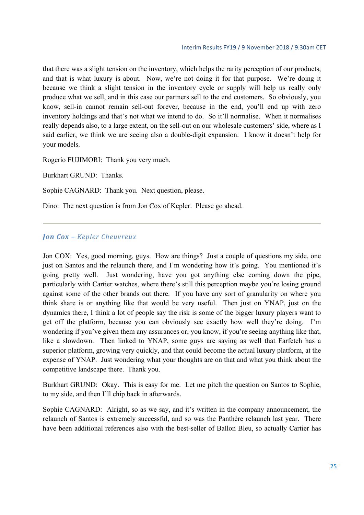that there was a slight tension on the inventory, which helps the rarity perception of our products, and that is what luxury is about. Now, we're not doing it for that purpose. We're doing it because we think a slight tension in the inventory cycle or supply will help us really only produce what we sell, and in this case our partners sell to the end customers. So obviously, you know, sell-in cannot remain sell-out forever, because in the end, you'll end up with zero inventory holdings and that's not what we intend to do. So it'll normalise. When it normalises really depends also, to a large extent, on the sell-out on our wholesale customers' side, where as I said earlier, we think we are seeing also a double-digit expansion. I know it doesn't help for your models.

Rogerio FUJIMORI: Thank you very much.

Burkhart GRUND: Thanks.

Sophie CAGNARD: Thank you. Next question, please.

Dino: The next question is from Jon Cox of Kepler. Please go ahead.

#### *Jon Cox – Kepler Cheuvreux*

Jon COX: Yes, good morning, guys. How are things? Just a couple of questions my side, one just on Santos and the relaunch there, and I'm wondering how it's going. You mentioned it's going pretty well. Just wondering, have you got anything else coming down the pipe, particularly with Cartier watches, where there's still this perception maybe you're losing ground against some of the other brands out there. If you have any sort of granularity on where you think share is or anything like that would be very useful. Then just on YNAP, just on the dynamics there, I think a lot of people say the risk is some of the bigger luxury players want to get off the platform, because you can obviously see exactly how well they're doing. I'm wondering if you've given them any assurances or, you know, if you're seeing anything like that, like a slowdown. Then linked to YNAP, some guys are saying as well that Farfetch has a superior platform, growing very quickly, and that could become the actual luxury platform, at the expense of YNAP. Just wondering what your thoughts are on that and what you think about the competitive landscape there. Thank you.

Burkhart GRUND: Okay. This is easy for me. Let me pitch the question on Santos to Sophie, to my side, and then I'll chip back in afterwards.

Sophie CAGNARD: Alright, so as we say, and it's written in the company announcement, the relaunch of Santos is extremely successful, and so was the Panthère relaunch last year. There have been additional references also with the best-seller of Ballon Bleu, so actually Cartier has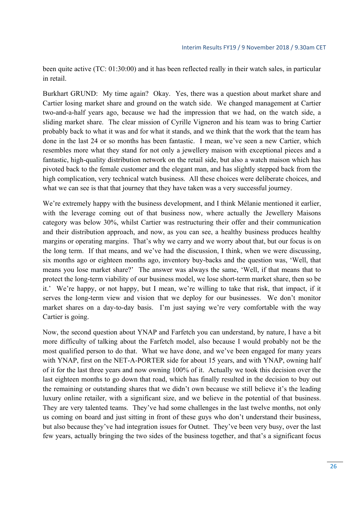been quite active (TC: 01:30:00) and it has been reflected really in their watch sales, in particular in retail.

Burkhart GRUND: My time again? Okay. Yes, there was a question about market share and Cartier losing market share and ground on the watch side. We changed management at Cartier two-and-a-half years ago, because we had the impression that we had, on the watch side, a sliding market share. The clear mission of Cyrille Vigneron and his team was to bring Cartier probably back to what it was and for what it stands, and we think that the work that the team has done in the last 24 or so months has been fantastic. I mean, we've seen a new Cartier, which resembles more what they stand for not only a jewellery maison with exceptional pieces and a fantastic, high-quality distribution network on the retail side, but also a watch maison which has pivoted back to the female customer and the elegant man, and has slightly stepped back from the high complication, very technical watch business. All these choices were deliberate choices, and what we can see is that that journey that they have taken was a very successful journey.

We're extremely happy with the business development, and I think Mélanie mentioned it earlier, with the leverage coming out of that business now, where actually the Jewellery Maisons category was below 30%, whilst Cartier was restructuring their offer and their communication and their distribution approach, and now, as you can see, a healthy business produces healthy margins or operating margins. That's why we carry and we worry about that, but our focus is on the long term. If that means, and we've had the discussion, I think, when we were discussing, six months ago or eighteen months ago, inventory buy-backs and the question was, 'Well, that means you lose market share?' The answer was always the same, 'Well, if that means that to protect the long-term viability of our business model, we lose short-term market share, then so be it.' We're happy, or not happy, but I mean, we're willing to take that risk, that impact, if it serves the long-term view and vision that we deploy for our businesses. We don't monitor market shares on a day-to-day basis. I'm just saying we're very comfortable with the way Cartier is going.

Now, the second question about YNAP and Farfetch you can understand, by nature, I have a bit more difficulty of talking about the Farfetch model, also because I would probably not be the most qualified person to do that. What we have done, and we've been engaged for many years with YNAP, first on the NET-A-PORTER side for about 15 years, and with YNAP, owning half of it for the last three years and now owning 100% of it. Actually we took this decision over the last eighteen months to go down that road, which has finally resulted in the decision to buy out the remaining or outstanding shares that we didn't own because we still believe it's the leading luxury online retailer, with a significant size, and we believe in the potential of that business. They are very talented teams. They've had some challenges in the last twelve months, not only us coming on board and just sitting in front of these guys who don't understand their business, but also because they've had integration issues for Outnet. They've been very busy, over the last few years, actually bringing the two sides of the business together, and that's a significant focus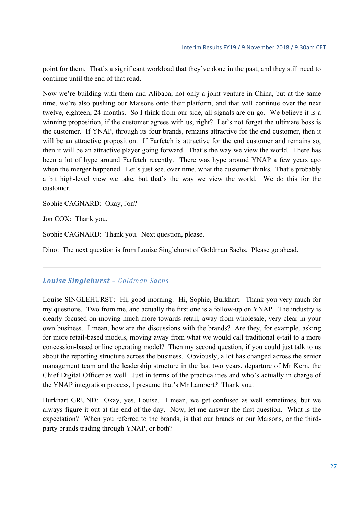point for them. That's a significant workload that they've done in the past, and they still need to continue until the end of that road.

Now we're building with them and Alibaba, not only a joint venture in China, but at the same time, we're also pushing our Maisons onto their platform, and that will continue over the next twelve, eighteen, 24 months. So I think from our side, all signals are on go. We believe it is a winning proposition, if the customer agrees with us, right? Let's not forget the ultimate boss is the customer. If YNAP, through its four brands, remains attractive for the end customer, then it will be an attractive proposition. If Farfetch is attractive for the end customer and remains so, then it will be an attractive player going forward. That's the way we view the world. There has been a lot of hype around Farfetch recently. There was hype around YNAP a few years ago when the merger happened. Let's just see, over time, what the customer thinks. That's probably a bit high-level view we take, but that's the way we view the world. We do this for the customer.

Sophie CAGNARD: Okay, Jon?

Jon COX: Thank you.

Sophie CAGNARD: Thank you. Next question, please.

Dino: The next question is from Louise Singlehurst of Goldman Sachs. Please go ahead.

#### *Louise Singlehurst – Goldman Sachs*

Louise SINGLEHURST: Hi, good morning. Hi, Sophie, Burkhart. Thank you very much for my questions. Two from me, and actually the first one is a follow-up on YNAP. The industry is clearly focused on moving much more towards retail, away from wholesale, very clear in your own business. I mean, how are the discussions with the brands? Are they, for example, asking for more retail-based models, moving away from what we would call traditional e-tail to a more concession-based online operating model? Then my second question, if you could just talk to us about the reporting structure across the business. Obviously, a lot has changed across the senior management team and the leadership structure in the last two years, departure of Mr Kern, the Chief Digital Officer as well. Just in terms of the practicalities and who's actually in charge of the YNAP integration process, I presume that's Mr Lambert? Thank you.

Burkhart GRUND: Okay, yes, Louise. I mean, we get confused as well sometimes, but we always figure it out at the end of the day. Now, let me answer the first question. What is the expectation? When you referred to the brands, is that our brands or our Maisons, or the thirdparty brands trading through YNAP, or both?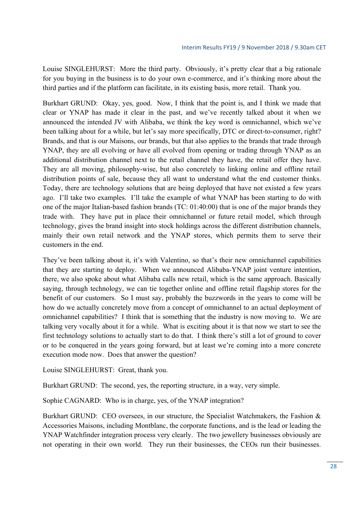Louise SINGLEHURST: More the third party. Obviously, it's pretty clear that a big rationale for you buying in the business is to do your own e-commerce, and it's thinking more about the third parties and if the platform can facilitate, in its existing basis, more retail. Thank you.

Burkhart GRUND: Okay, yes, good. Now, I think that the point is, and I think we made that clear or YNAP has made it clear in the past, and we've recently talked about it when we announced the intended JV with Alibaba, we think the key word is omnichannel, which we've been talking about for a while, but let's say more specifically, DTC or direct-to-consumer, right? Brands, and that is our Maisons, our brands, but that also applies to the brands that trade through YNAP, they are all evolving or have all evolved from opening or trading through YNAP as an additional distribution channel next to the retail channel they have, the retail offer they have. They are all moving, philosophy-wise, but also concretely to linking online and offline retail distribution points of sale, because they all want to understand what the end customer thinks. Today, there are technology solutions that are being deployed that have not existed a few years ago. I'll take two examples. I'll take the example of what YNAP has been starting to do with one of the major Italian-based fashion brands (TC: 01:40:00) that is one of the major brands they trade with. They have put in place their omnichannel or future retail model, which through technology, gives the brand insight into stock holdings across the different distribution channels, mainly their own retail network and the YNAP stores, which permits them to serve their customers in the end.

They've been talking about it, it's with Valentino, so that's their new omnichannel capabilities that they are starting to deploy. When we announced Alibaba-YNAP joint venture intention, there, we also spoke about what Alibaba calls new retail, which is the same approach. Basically saying, through technology, we can tie together online and offline retail flagship stores for the benefit of our customers. So I must say, probably the buzzwords in the years to come will be how do we actually concretely move from a concept of omnichannel to an actual deployment of omnichannel capabilities? I think that is something that the industry is now moving to. We are talking very vocally about it for a while. What is exciting about it is that now we start to see the first technology solutions to actually start to do that. I think there's still a lot of ground to cover or to be conquered in the years going forward, but at least we're coming into a more concrete execution mode now. Does that answer the question?

Louise SINGLEHURST: Great, thank you.

Burkhart GRUND: The second, yes, the reporting structure, in a way, very simple.

Sophie CAGNARD: Who is in charge, yes, of the YNAP integration?

Burkhart GRUND: CEO oversees, in our structure, the Specialist Watchmakers, the Fashion & Accessories Maisons, including Montblanc, the corporate functions, and is the lead or leading the YNAP Watchfinder integration process very clearly. The two jewellery businesses obviously are not operating in their own world. They run their businesses, the CEOs run their businesses.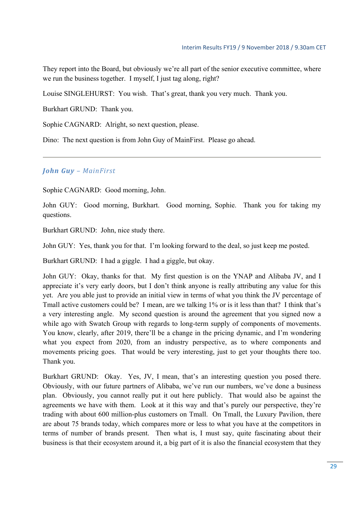They report into the Board, but obviously we're all part of the senior executive committee, where we run the business together. I myself, I just tag along, right?

Louise SINGLEHURST: You wish. That's great, thank you very much. Thank you.

Burkhart GRUND: Thank you.

Sophie CAGNARD: Alright, so next question, please.

Dino: The next question is from John Guy of MainFirst. Please go ahead.

### *John Guy – MainFirst*

Sophie CAGNARD: Good morning, John.

John GUY: Good morning, Burkhart. Good morning, Sophie. Thank you for taking my questions.

Burkhart GRUND: John, nice study there.

John GUY: Yes, thank you for that. I'm looking forward to the deal, so just keep me posted.

Burkhart GRUND: I had a giggle. I had a giggle, but okay.

John GUY: Okay, thanks for that. My first question is on the YNAP and Alibaba JV, and I appreciate it's very early doors, but I don't think anyone is really attributing any value for this yet. Are you able just to provide an initial view in terms of what you think the JV percentage of Tmall active customers could be? I mean, are we talking 1% or is it less than that? I think that's a very interesting angle. My second question is around the agreement that you signed now a while ago with Swatch Group with regards to long-term supply of components of movements. You know, clearly, after 2019, there'll be a change in the pricing dynamic, and I'm wondering what you expect from 2020, from an industry perspective, as to where components and movements pricing goes. That would be very interesting, just to get your thoughts there too. Thank you.

Burkhart GRUND: Okay. Yes, JV, I mean, that's an interesting question you posed there. Obviously, with our future partners of Alibaba, we've run our numbers, we've done a business plan. Obviously, you cannot really put it out here publicly. That would also be against the agreements we have with them. Look at it this way and that's purely our perspective, they're trading with about 600 million-plus customers on Tmall. On Tmall, the Luxury Pavilion, there are about 75 brands today, which compares more or less to what you have at the competitors in terms of number of brands present. Then what is, I must say, quite fascinating about their business is that their ecosystem around it, a big part of it is also the financial ecosystem that they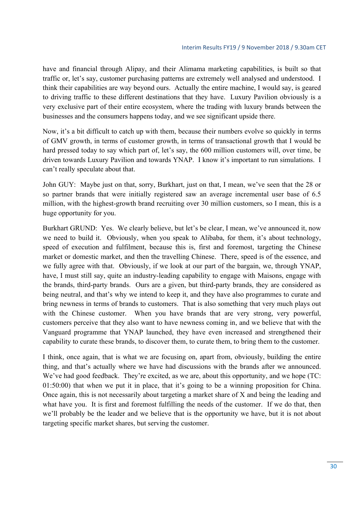have and financial through Alipay, and their Alimama marketing capabilities, is built so that traffic or, let's say, customer purchasing patterns are extremely well analysed and understood. I think their capabilities are way beyond ours. Actually the entire machine, I would say, is geared to driving traffic to these different destinations that they have. Luxury Pavilion obviously is a very exclusive part of their entire ecosystem, where the trading with luxury brands between the businesses and the consumers happens today, and we see significant upside there.

Now, it's a bit difficult to catch up with them, because their numbers evolve so quickly in terms of GMV growth, in terms of customer growth, in terms of transactional growth that I would be hard pressed today to say which part of, let's say, the 600 million customers will, over time, be driven towards Luxury Pavilion and towards YNAP. I know it's important to run simulations. I can't really speculate about that.

John GUY: Maybe just on that, sorry, Burkhart, just on that, I mean, we've seen that the 28 or so partner brands that were initially registered saw an average incremental user base of 6.5 million, with the highest-growth brand recruiting over 30 million customers, so I mean, this is a huge opportunity for you.

Burkhart GRUND: Yes. We clearly believe, but let's be clear, I mean, we've announced it, now we need to build it. Obviously, when you speak to Alibaba, for them, it's about technology, speed of execution and fulfilment, because this is, first and foremost, targeting the Chinese market or domestic market, and then the travelling Chinese. There, speed is of the essence, and we fully agree with that. Obviously, if we look at our part of the bargain, we, through YNAP, have, I must still say, quite an industry-leading capability to engage with Maisons, engage with the brands, third-party brands. Ours are a given, but third-party brands, they are considered as being neutral, and that's why we intend to keep it, and they have also programmes to curate and bring newness in terms of brands to customers. That is also something that very much plays out with the Chinese customer. When you have brands that are very strong, very powerful, customers perceive that they also want to have newness coming in, and we believe that with the Vanguard programme that YNAP launched, they have even increased and strengthened their capability to curate these brands, to discover them, to curate them, to bring them to the customer.

I think, once again, that is what we are focusing on, apart from, obviously, building the entire thing, and that's actually where we have had discussions with the brands after we announced. We've had good feedback. They're excited, as we are, about this opportunity, and we hope (TC: 01:50:00) that when we put it in place, that it's going to be a winning proposition for China. Once again, this is not necessarily about targeting a market share of X and being the leading and what have you. It is first and foremost fulfilling the needs of the customer. If we do that, then we'll probably be the leader and we believe that is the opportunity we have, but it is not about targeting specific market shares, but serving the customer.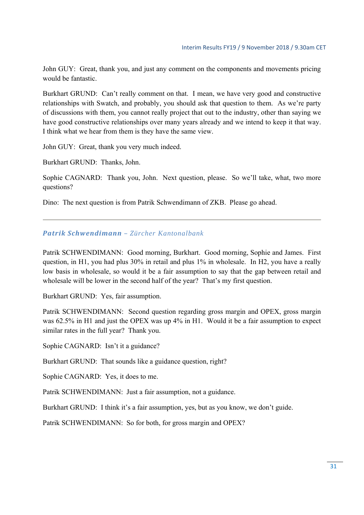John GUY: Great, thank you, and just any comment on the components and movements pricing would be fantastic.

Burkhart GRUND: Can't really comment on that. I mean, we have very good and constructive relationships with Swatch, and probably, you should ask that question to them. As we're party of discussions with them, you cannot really project that out to the industry, other than saying we have good constructive relationships over many years already and we intend to keep it that way. I think what we hear from them is they have the same view.

John GUY: Great, thank you very much indeed.

Burkhart GRUND: Thanks, John.

Sophie CAGNARD: Thank you, John. Next question, please. So we'll take, what, two more questions?

Dino: The next question is from Patrik Schwendimann of ZKB. Please go ahead.

#### *Patrik Schwendimann – Zürcher Kantonalbank*

Patrik SCHWENDIMANN: Good morning, Burkhart. Good morning, Sophie and James. First question, in H1, you had plus 30% in retail and plus 1% in wholesale. In H2, you have a really low basis in wholesale, so would it be a fair assumption to say that the gap between retail and wholesale will be lower in the second half of the year? That's my first question.

Burkhart GRUND: Yes, fair assumption.

Patrik SCHWENDIMANN: Second question regarding gross margin and OPEX, gross margin was 62.5% in H1 and just the OPEX was up 4% in H1. Would it be a fair assumption to expect similar rates in the full year? Thank you.

Sophie CAGNARD: Isn't it a guidance?

Burkhart GRUND: That sounds like a guidance question, right?

Sophie CAGNARD: Yes, it does to me.

Patrik SCHWENDIMANN: Just a fair assumption, not a guidance.

Burkhart GRUND: I think it's a fair assumption, yes, but as you know, we don't guide.

Patrik SCHWENDIMANN: So for both, for gross margin and OPEX?